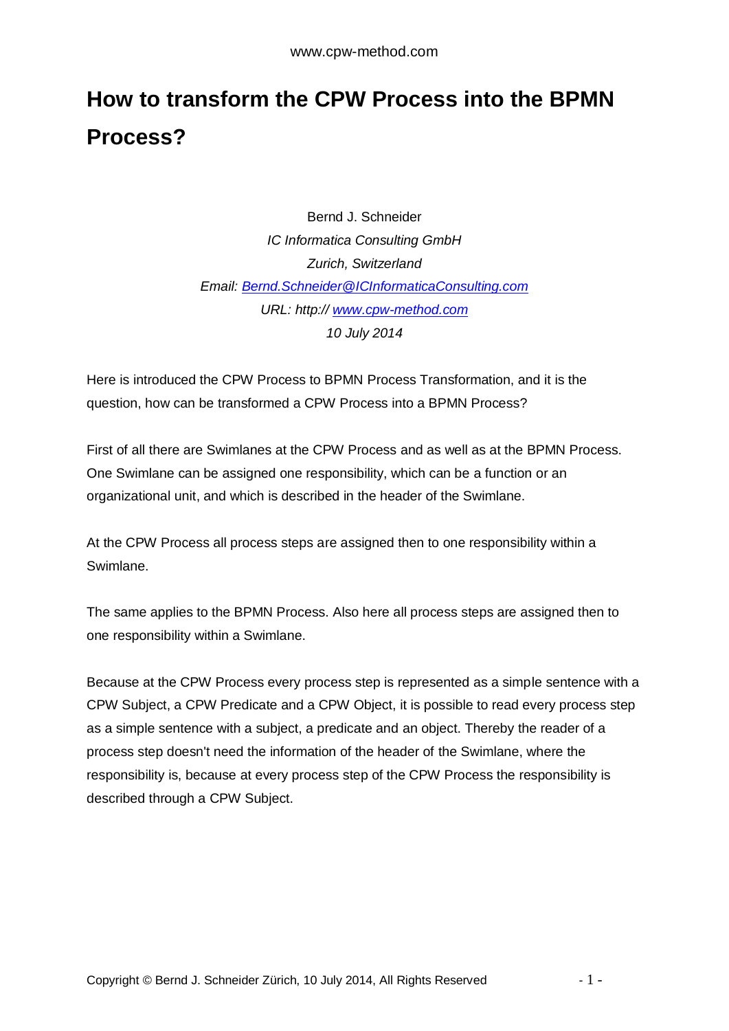# **How to transform the CPW Process into the BPMN Process?**

Bernd J. Schneider *IC Informatica Consulting GmbH Zurich, Switzerland Email: [Bernd.Schneider@ICInformaticaConsulting.com](mailto:Bernd.Schneider@ICInformaticaConsulting.com) URL: http:// [www.cpw-method.com](http://www.cpw-method.com/) 10 July 2014*

Here is introduced the CPW Process to BPMN Process Transformation, and it is the question, how can be transformed a CPW Process into a BPMN Process?

First of all there are Swimlanes at the CPW Process and as well as at the BPMN Process. One Swimlane can be assigned one responsibility, which can be a function or an organizational unit, and which is described in the header of the Swimlane.

At the CPW Process all process steps are assigned then to one responsibility within a Swimlane.

The same applies to the BPMN Process. Also here all process steps are assigned then to one responsibility within a Swimlane.

Because at the CPW Process every process step is represented as a simple sentence with a CPW Subject, a CPW Predicate and a CPW Object, it is possible to read every process step as a simple sentence with a subject, a predicate and an object. Thereby the reader of a process step doesn't need the information of the header of the Swimlane, where the responsibility is, because at every process step of the CPW Process the responsibility is described through a CPW Subject.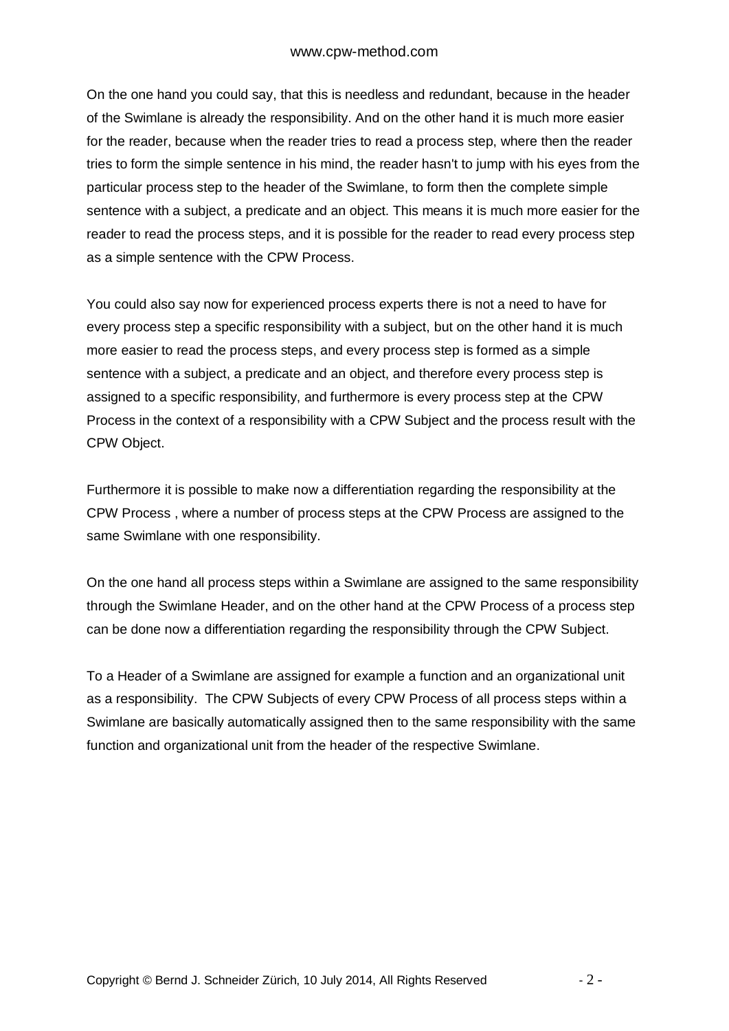On the one hand you could say, that this is needless and redundant, because in the header of the Swimlane is already the responsibility. And on the other hand it is much more easier for the reader, because when the reader tries to read a process step, where then the reader tries to form the simple sentence in his mind, the reader hasn't to jump with his eyes from the particular process step to the header of the Swimlane, to form then the complete simple sentence with a subject, a predicate and an object. This means it is much more easier for the reader to read the process steps, and it is possible for the reader to read every process step as a simple sentence with the CPW Process.

You could also say now for experienced process experts there is not a need to have for every process step a specific responsibility with a subject, but on the other hand it is much more easier to read the process steps, and every process step is formed as a simple sentence with a subject, a predicate and an object, and therefore every process step is assigned to a specific responsibility, and furthermore is every process step at the CPW Process in the context of a responsibility with a CPW Subject and the process result with the CPW Object.

Furthermore it is possible to make now a differentiation regarding the responsibility at the CPW Process , where a number of process steps at the CPW Process are assigned to the same Swimlane with one responsibility.

On the one hand all process steps within a Swimlane are assigned to the same responsibility through the Swimlane Header, and on the other hand at the CPW Process of a process step can be done now a differentiation regarding the responsibility through the CPW Subject.

To a Header of a Swimlane are assigned for example a function and an organizational unit as a responsibility. The CPW Subjects of every CPW Process of all process steps within a Swimlane are basically automatically assigned then to the same responsibility with the same function and organizational unit from the header of the respective Swimlane.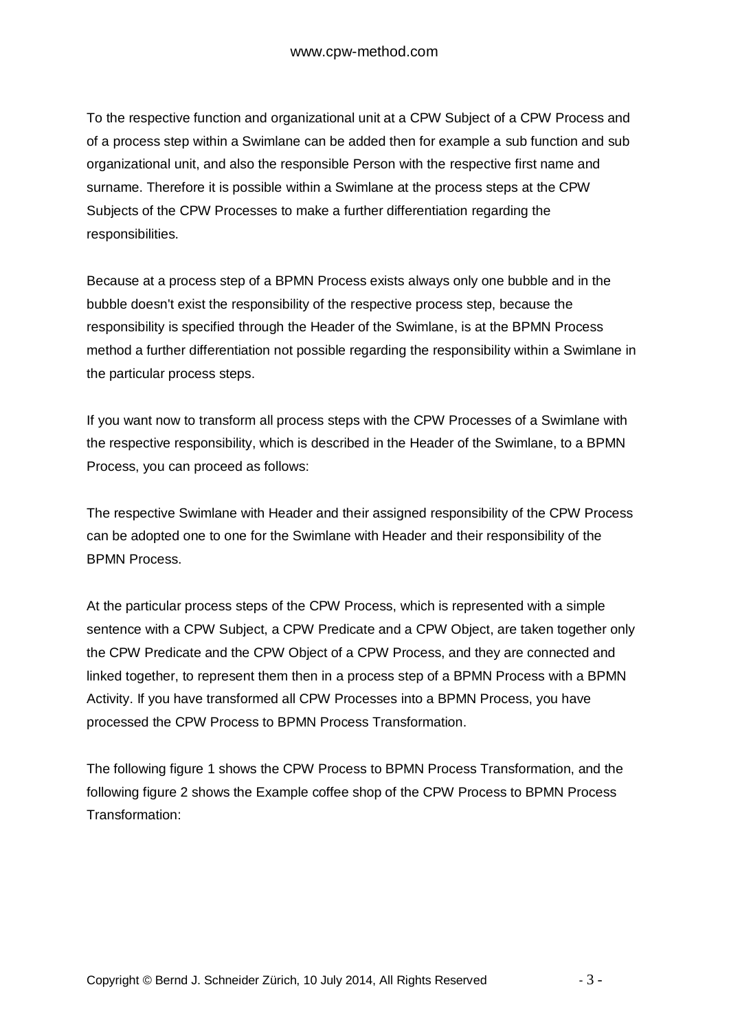To the respective function and organizational unit at a CPW Subject of a CPW Process and of a process step within a Swimlane can be added then for example a sub function and sub organizational unit, and also the responsible Person with the respective first name and surname. Therefore it is possible within a Swimlane at the process steps at the CPW Subjects of the CPW Processes to make a further differentiation regarding the responsibilities.

Because at a process step of a BPMN Process exists always only one bubble and in the bubble doesn't exist the responsibility of the respective process step, because the responsibility is specified through the Header of the Swimlane, is at the BPMN Process method a further differentiation not possible regarding the responsibility within a Swimlane in the particular process steps.

If you want now to transform all process steps with the CPW Processes of a Swimlane with the respective responsibility, which is described in the Header of the Swimlane, to a BPMN Process, you can proceed as follows:

The respective Swimlane with Header and their assigned responsibility of the CPW Process can be adopted one to one for the Swimlane with Header and their responsibility of the BPMN Process.

At the particular process steps of the CPW Process, which is represented with a simple sentence with a CPW Subject, a CPW Predicate and a CPW Object, are taken together only the CPW Predicate and the CPW Object of a CPW Process, and they are connected and linked together, to represent them then in a process step of a BPMN Process with a BPMN Activity. If you have transformed all CPW Processes into a BPMN Process, you have processed the CPW Process to BPMN Process Transformation.

The following figure 1 shows the CPW Process to BPMN Process Transformation, and the following figure 2 shows the Example coffee shop of the CPW Process to BPMN Process Transformation: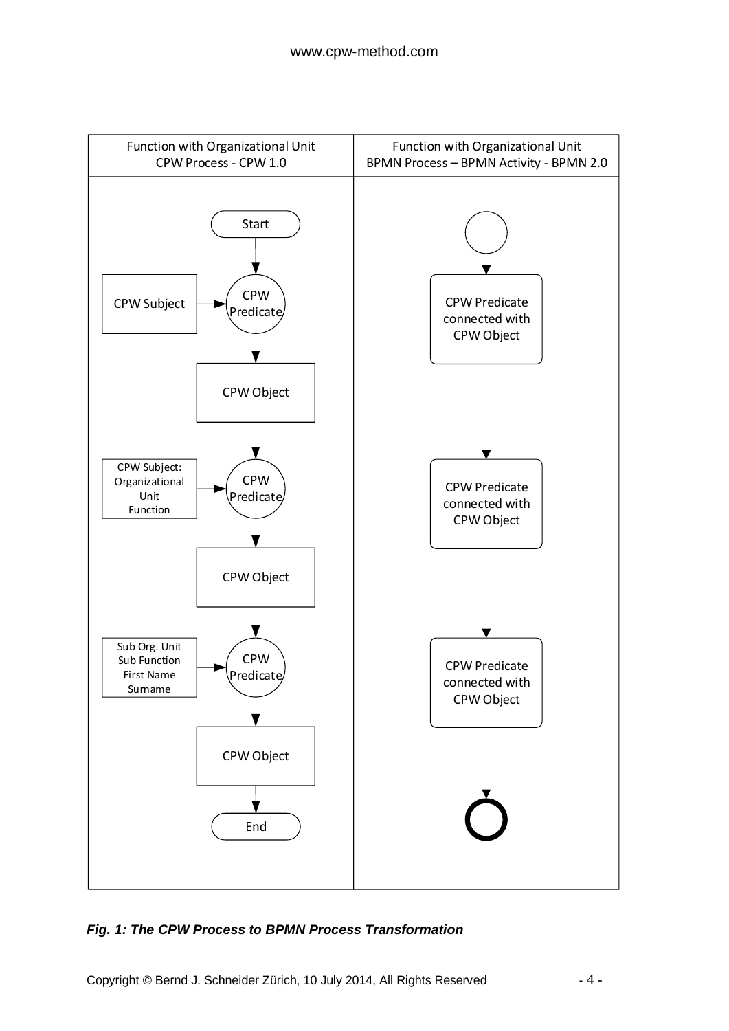

### *Fig. 1: The CPW Process to BPMN Process Transformation*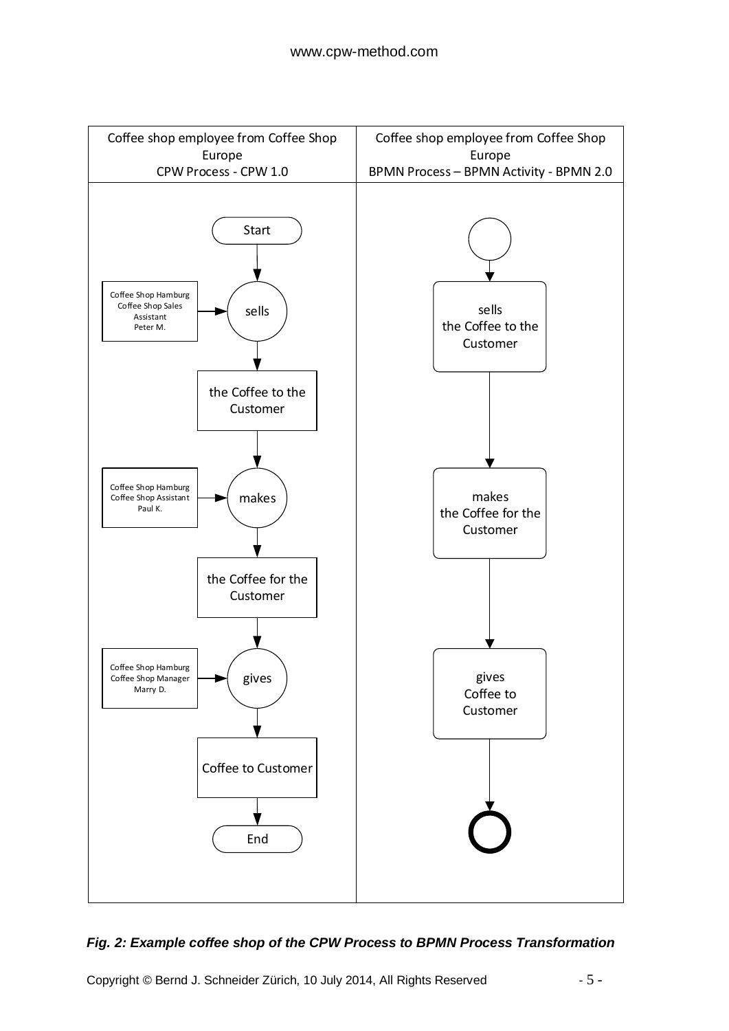

### *Fig. 2: Example coffee shop of the CPW Process to BPMN Process Transformation*